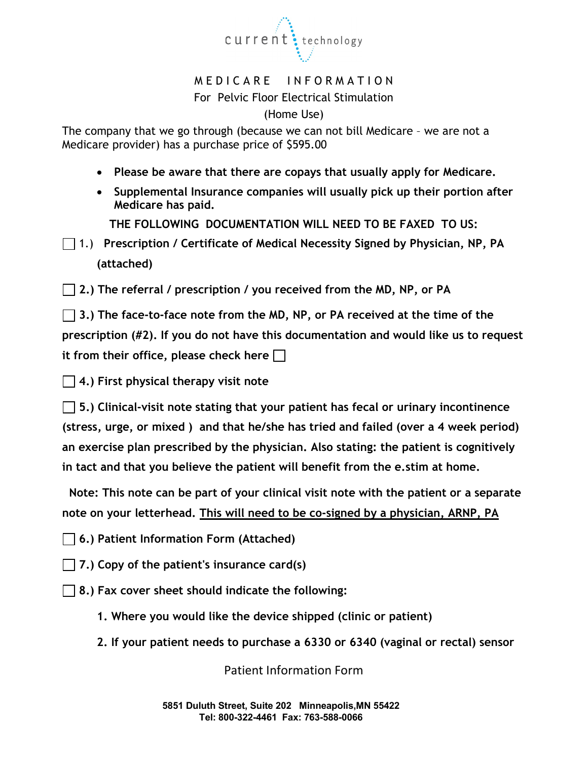

# M E D I C A R E IN FORMATION For Pelvic Floor Electrical Stimulation

(Home Use)

The company that we go through (because we can not bill Medicare – we are not a Medicare provider) has a purchase price of \$595.00

- **Please be aware that there are copays that usually apply for Medicare.**
- **Supplemental Insurance companies will usually pick up their portion after Medicare has paid.**

**THE FOLLOWING DOCUMENTATION WILL NEED TO BE FAXED TO US:**

1.) **Prescription / Certificate of Medical Necessity Signed by Physician, NP, PA (attached)**

**2.) The referral / prescription / you received from the MD, NP, or PA** 

**3.) The face-to-face note from the MD, NP, or PA received at the time of the prescription (#2). If you do not have this documentation and would like us to request it from their office, please check here** 

**4.) First physical therapy visit note** 

**5.) Clinical-visit note stating that your patient has fecal or urinary incontinence (stress, urge, or mixed ) and that he/she has tried and failed (over a 4 week period) an exercise plan prescribed by the physician. Also stating: the patient is cognitively in tact and that you believe the patient will benefit from the e.stim at home.**

 **Note: This note can be part of your clinical visit note with the patient or a separate note on your letterhead. This will need to be co-signed by a physician, ARNP, PA**

**6.) Patient Information Form (Attached)**

**7.) Copy of the patient's insurance card(s)**

**8.) Fax cover sheet should indicate the following:**

- **1. Where you would like the device shipped (clinic or patient)**
- **2. If your patient needs to purchase a 6330 or 6340 (vaginal or rectal) sensor**

Patient Information Form

**5851 Duluth Street, Suite 202 Minneapolis,MN 55422 Tel: 800-322-4461 Fax: 763-588-0066**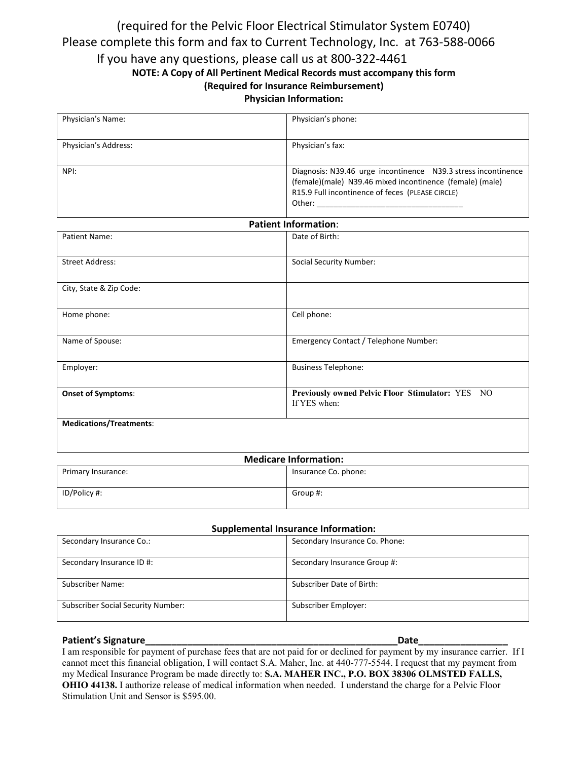## (required for the Pelvic Floor Electrical Stimulator System E0740) Please complete this form and fax to Current Technology, Inc. at 763-588-0066 If you have any questions, please call us at 800-322-4461 **NOTE: A Copy of All Pertinent Medical Records must accompany this form (Required for Insurance Reimbursement) Physician Information:**

| Physician's Name:    | Physician's phone:                                                                                                                                                                      |
|----------------------|-----------------------------------------------------------------------------------------------------------------------------------------------------------------------------------------|
| Physician's Address: | Physician's fax:                                                                                                                                                                        |
| NPI:                 | Diagnosis: N39.46 urge incontinence N39.3 stress incontinence<br>(female)(male) N39.46 mixed incontinence (female) (male)<br>R15.9 Full incontinence of feces (PLEASE CIRCLE)<br>Other: |

| <b>Patient Information:</b>    |                                                                  |  |  |
|--------------------------------|------------------------------------------------------------------|--|--|
| Patient Name:                  | Date of Birth:                                                   |  |  |
| <b>Street Address:</b>         | <b>Social Security Number:</b>                                   |  |  |
| City, State & Zip Code:        |                                                                  |  |  |
| Home phone:                    | Cell phone:                                                      |  |  |
| Name of Spouse:                | Emergency Contact / Telephone Number:                            |  |  |
| Employer:                      | <b>Business Telephone:</b>                                       |  |  |
| <b>Onset of Symptoms:</b>      | Previously owned Pelvic Floor Stimulator: YES NO<br>If YES when: |  |  |
| <b>Medications/Treatments:</b> |                                                                  |  |  |

| <b>Medicare Information:</b> |                      |  |
|------------------------------|----------------------|--|
| Primary Insurance:           | Insurance Co. phone: |  |
|                              |                      |  |
| ID/Policy #:                 | Group #:             |  |
|                              |                      |  |

#### **Supplemental Insurance Information:**

| Secondary Insurance Co.:                  | Secondary Insurance Co. Phone: |
|-------------------------------------------|--------------------------------|
| Secondary Insurance ID #:                 | Secondary Insurance Group #:   |
| Subscriber Name:                          | Subscriber Date of Birth:      |
| <b>Subscriber Social Security Number:</b> | Subscriber Employer:           |

#### **Patient's Signature**

I am responsible for payment of purchase fees that are not paid for or declined for payment by my insurance carrier. If I cannot meet this financial obligation, I will contact S.A. Maher, Inc. at 440-777-5544. I request that my payment from my Medical Insurance Program be made directly to: **S.A. MAHER INC., P.O. BOX 38306 OLMSTED FALLS, OHIO 44138.** I authorize release of medical information when needed. I understand the charge for a Pelvic Floor Stimulation Unit and Sensor is \$595.00.